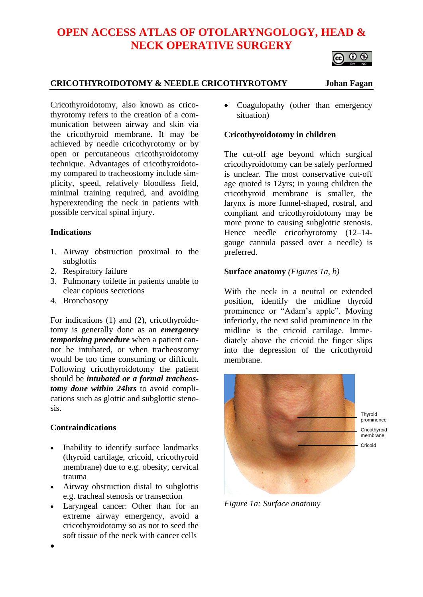# **OPEN ACCESS ATLAS OF OTOLARYNGOLOGY, HEAD & NECK OPERATIVE SURGERY**



# **CRICOTHYROIDOTOMY & NEEDLE CRICOTHYROTOMY Johan Fagan**

Cricothyroidotomy, also known as cricothyrotomy refers to the creation of a communication between airway and skin via the cricothyroid membrane. It may be achieved by needle cricothyrotomy or by open or percutaneous cricothyroidotomy technique. Advantages of cricothyroidotomy compared to tracheostomy include simplicity, speed, relatively bloodless field, minimal training required, and avoiding hyperextending the neck in patients with possible cervical spinal injury.

### **Indications**

- 1. Airway obstruction proximal to the subglottis
- 2. Respiratory failure
- 3. Pulmonary toilette in patients unable to clear copious secretions
- 4. Bronchosopy

For indications (1) and (2), cricothyroidotomy is generally done as an *emergency temporising procedure* when a patient cannot be intubated, or when tracheostomy would be too time consuming or difficult. Following cricothyroidotomy the patient should be *intubated or a formal tracheostomy done within 24hrs* to avoid complications such as glottic and subglottic stenosis.

# **Contraindications**

- Inability to identify surface landmarks (thyroid cartilage, cricoid, cricothyroid membrane) due to e.g. obesity, cervical trauma
- Airway obstruction distal to subglottis e.g. tracheal stenosis or transection
- Laryngeal cancer: Other than for an extreme airway emergency, avoid a cricothyroidotomy so as not to seed the soft tissue of the neck with cancer cells

Coagulopathy (other than emergency situation)

# **Cricothyroidotomy in children**

The cut-off age beyond which surgical cricothyroidotomy can be safely performed is unclear. The most conservative cut-off age quoted is 12yrs; in young children the cricothyroid membrane is smaller, the larynx is more funnel-shaped, rostral, and compliant and cricothyroidotomy may be more prone to causing subglottic stenosis. Hence needle cricothyrotomy (12–14gauge cannula passed over a needle) is preferred.

# **Surface anatomy** *(Figures 1a, b)*

With the neck in a neutral or extended position, identify the midline thyroid prominence or "Adam's apple". Moving inferiorly, the next solid prominence in the midline is the cricoid cartilage. Immediately above the cricoid the finger slips into the depression of the cricothyroid membrane.



*Figure 1a: Surface anatomy*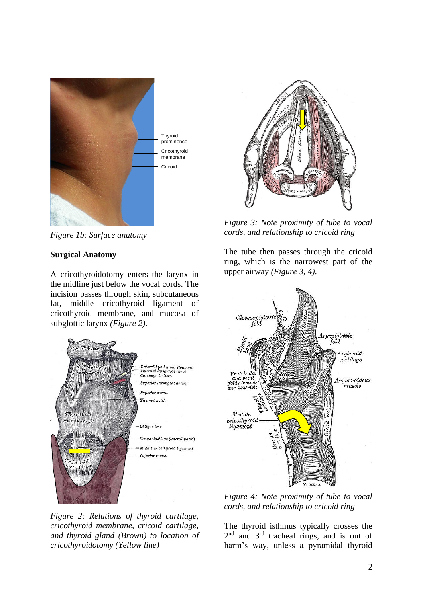

*Figure 1b: Surface anatomy*

#### **Surgical Anatomy**

A cricothyroidotomy enters the larynx in the midline just below the vocal cords. The incision passes through skin, subcutaneous fat, middle cricothyroid ligament of cricothyroid membrane, and mucosa of subglottic larynx *(Figure 2)*.



*Figure 2: Relations of thyroid cartilage, cricothyroid membrane, cricoid cartilage, and thyroid gland (Brown) to location of cricothyroidotomy (Yellow line)*



*Figure 3: Note proximity of tube to vocal cords, and relationship to cricoid ring*

The tube then passes through the cricoid ring, which is the narrowest part of the upper airway *(Figure 3, 4)*.



*Figure 4: Note proximity of tube to vocal cords, and relationship to cricoid ring*

The thyroid isthmus typically crosses the 2<sup>nd</sup> and 3<sup>rd</sup> tracheal rings, and is out of harm's way, unless a pyramidal thyroid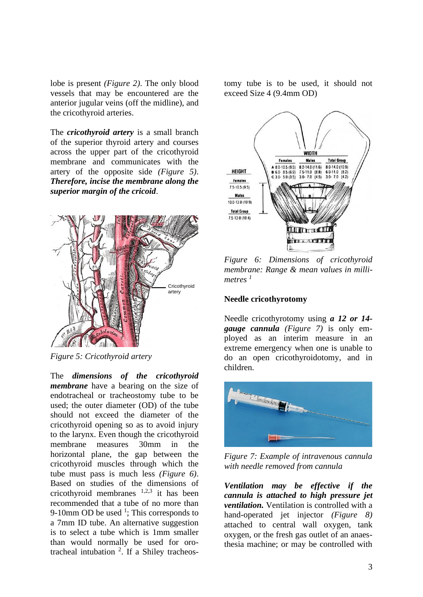lobe is present *(Figure 2)*. The only blood vessels that may be encountered are the anterior jugular veins (off the midline), and the cricothyroid arteries.

The *cricothyroid artery* is a small branch of the superior thyroid artery and courses across the upper part of the cricothyroid membrane and communicates with the artery of the opposite side *(Figure 5)*. *Therefore, incise the membrane along the superior margin of the cricoid*.



*Figure 5: Cricothyroid artery*

The *dimensions of the cricothyroid membrane* have a bearing on the size of endotracheal or tracheostomy tube to be used; the outer diameter (OD) of the tube should not exceed the diameter of the cricothyroid opening so as to avoid injury to the larynx. Even though the cricothyroid membrane measures 30mm in the horizontal plane, the gap between the cricothyroid muscles through which the tube must pass is much less *(Figure 6)*. Based on studies of the dimensions of cricothyroid membranes  $1,2,3$  it has been recommended that a tube of no more than 9-10mm OD be used  $\frac{1}{1}$ ; This corresponds to a 7mm ID tube. An alternative suggestion is to select a tube which is 1mm smaller than would normally be used for orotracheal intubation  $2$ . If a Shiley tracheostomy tube is to be used, it should not exceed Size 4 (9.4mm OD)



*Figure 6: Dimensions of cricothyroid membrane: Range & mean values in millimetres <sup>1</sup>*

#### **Needle cricothyrotomy**

Needle cricothyrotomy using *a 12 or 14 gauge cannula (Figure 7)* is only employed as an interim measure in an extreme emergency when one is unable to do an open cricothyroidotomy, and in children.



*Figure 7: Example of intravenous cannula with needle removed from cannula*

*Ventilation may be effective if the cannula is attached to high pressure jet ventilation.* Ventilation is controlled with a hand-operated jet injector *(Figure 8)* attached to central wall oxygen, tank oxygen, or the fresh gas outlet of an anaesthesia machine; or may be controlled with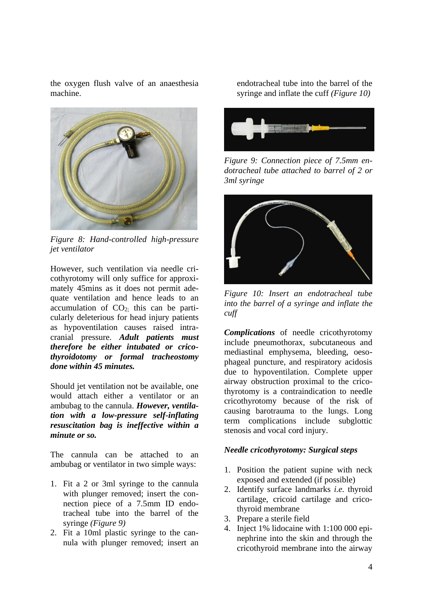the oxygen flush valve of an anaesthesia machine.



*Figure 8: Hand-controlled high-pressure jet ventilator*

However, such ventilation via needle cricothyrotomy will only suffice for approximately 45mins as it does not permit adequate ventilation and hence leads to an accumulation of  $CO<sub>2</sub>$ ; this can be particularly deleterious for head injury patients as hypoventilation causes raised intracranial pressure. *Adult patients must therefore be either intubated or cricothyroidotomy or formal tracheostomy done within 45 minutes.*

Should jet ventilation not be available, one would attach either a ventilator or an ambubag to the cannula. *However, ventilation with a low-pressure self-inflating resuscitation bag is ineffective within a minute or so.*

The cannula can be attached to an ambubag or ventilator in two simple ways:

- 1. Fit a 2 or 3ml syringe to the cannula with plunger removed; insert the connection piece of a 7.5mm ID endotracheal tube into the barrel of the syringe *(Figure 9)*
- 2. Fit a 10ml plastic syringe to the cannula with plunger removed; insert an

endotracheal tube into the barrel of the syringe and inflate the cuff *(Figure 10)*



*Figure 9: Connection piece of 7.5mm endotracheal tube attached to barrel of 2 or 3ml syringe*



*Figure 10: Insert an endotracheal tube into the barrel of a syringe and inflate the cuff*

*Complications* of needle cricothyrotomy include pneumothorax, subcutaneous and mediastinal emphysema, bleeding, oesophageal puncture, and respiratory acidosis due to hypoventilation. Complete upper airway obstruction proximal to the cricothyrotomy is a contraindication to needle cricothyrotomy because of the risk of causing barotrauma to the lungs. Long term complications include subglottic stenosis and vocal cord injury.

# *Needle cricothyrotomy: Surgical steps*

- 1. Position the patient supine with neck exposed and extended (if possible)
- 2. Identify surface landmarks *i.e.* thyroid cartilage, cricoid cartilage and cricothyroid membrane
- 3. Prepare a sterile field
- 4. Inject 1% lidocaine with 1:100 000 epinephrine into the skin and through the cricothyroid membrane into the airway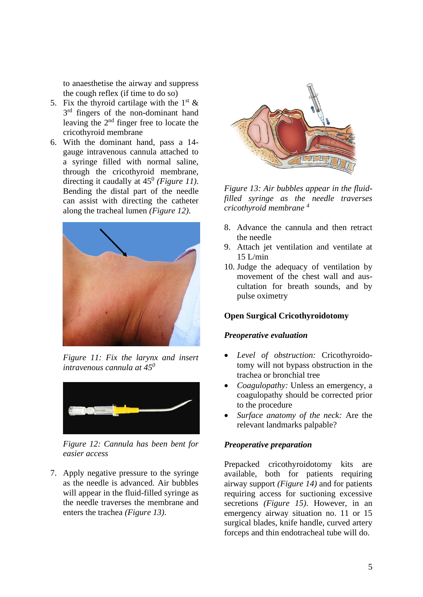to anaesthetise the airway and suppress the cough reflex (if time to do so)

- 5. Fix the thyroid cartilage with the  $1<sup>st</sup>$  & 3<sup>rd</sup> fingers of the non-dominant hand leaving the  $2<sup>nd</sup>$  finger free to locate the cricothyroid membrane
- 6. With the dominant hand, pass a 14 gauge intravenous cannula attached to a syringe filled with normal saline, through the cricothyroid membrane, directing it caudally at 45<sup>0</sup> *(Figure 11)*. Bending the distal part of the needle can assist with directing the catheter along the tracheal lumen *(Figure 12)*.



*Figure 11: Fix the larynx and insert intravenous cannula at 45<sup>0</sup>*



*Figure 12: Cannula has been bent for easier access*

7. Apply negative pressure to the syringe as the needle is advanced. Air bubbles will appear in the fluid-filled syringe as the needle traverses the membrane and enters the trachea *(Figure 13)*.



*Figure 13: Air bubbles appear in the fluidfilled syringe as the needle traverses cricothyroid membrane <sup>4</sup>*

- 8. Advance the cannula and then retract the needle
- 9. Attach jet ventilation and ventilate at  $15$  L/min
- 10. Judge the adequacy of ventilation by movement of the chest wall and auscultation for breath sounds, and by pulse oximetry

### **Open Surgical Cricothyroidotomy**

#### *Preoperative evaluation*

- *Level of obstruction:* Cricothyroidotomy will not bypass obstruction in the trachea or bronchial tree
- *Coagulopathy:* Unless an emergency, a coagulopathy should be corrected prior to the procedure
- *Surface anatomy of the neck:* Are the relevant landmarks palpable?

#### *Preoperative preparation*

Prepacked cricothyroidotomy kits are available, both for patients requiring airway support *(Figure 14)* and for patients requiring access for suctioning excessive secretions *(Figure 15)*. However, in an emergency airway situation no. 11 or 15 surgical blades, knife handle, curved artery forceps and thin endotracheal tube will do.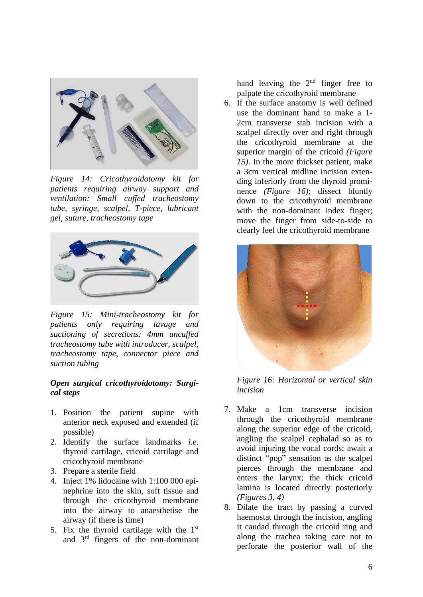

*Figure 14: Cricothyroidotomy kit for patients requiring airway support and ventilation: Small cuffed tracheostomy tube, syringe, scalpel, T-piece, lubricant gel, suture, tracheostomy tape*



*Figure 15: Mini-tracheostomy kit for patients only requiring lavage and suctioning of secretions: 4mm uncuffed tracheostomy tube with introducer, scalpel, tracheostomy tape, connector piece and suction tubing*

### *Open surgical cricothyroidotomy: Surgical steps*

- 1. Position the patient supine with anterior neck exposed and extended (if possible)
- 2. Identify the surface landmarks *i.e*. thyroid cartilage, cricoid cartilage and cricothyroid membrane
- 3. Prepare a sterile field
- 4. Inject 1% lidocaine with 1:100 000 epinephrine into the skin, soft tissue and through the cricothyroid membrane into the airway to anaesthetise the airway (if there is time)
- 5. Fix the thyroid cartilage with the  $1<sup>st</sup>$ and 3rd fingers of the non-dominant

hand leaving the  $2<sup>nd</sup>$  finger free to palpate the cricothyroid membrane

6. If the surface anatomy is well defined use the dominant hand to make a 1- 2cm transverse stab incision with a scalpel directly over and right through the cricothyroid membrane at the superior margin of the cricoid *(Figure 15)*. In the more thickset patient, make a 3cm vertical midline incision extending inferiorly from the thyroid prominence *(Figure 16)*; dissect bluntly down to the cricothyroid membrane with the non-dominant index finger; move the finger from side-to-side to clearly feel the cricothyroid membrane



*Figure 16: Horizontal or vertical skin incision*

- 7. Make a 1cm transverse incision through the cricothyroid membrane along the superior edge of the cricoid, angling the scalpel cephalad so as to avoid injuring the vocal cords; await a distinct "pop" sensation as the scalpel pierces through the membrane and enters the larynx; the thick cricoid lamina is located directly posteriorly *(Figures 3, 4)*
- 8. Dilate the tract by passing a curved haemostat through the incision, angling it caudad through the cricoid ring and along the trachea taking care not to perforate the posterior wall of the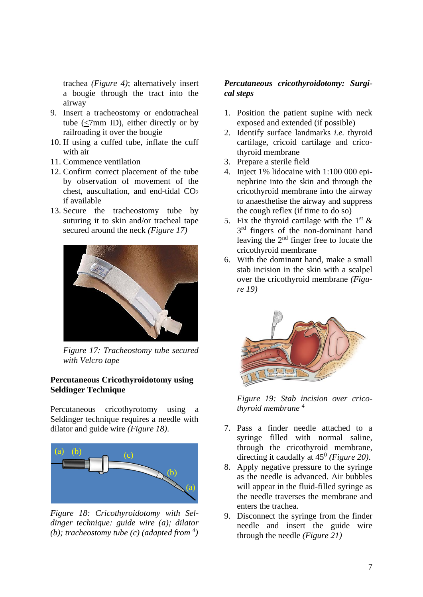trachea *(Figure 4)*; alternatively insert a bougie through the tract into the airway

- 9. Insert a tracheostomy or endotracheal tube (<7mm ID), either directly or by railroading it over the bougie
- 10. If using a cuffed tube, inflate the cuff with air
- 11. Commence ventilation
- 12. Confirm correct placement of the tube by observation of movement of the chest, auscultation, and end-tidal  $CO<sub>2</sub>$ if available
- 13. Secure the tracheostomy tube by suturing it to skin and/or tracheal tape secured around the neck *(Figure 17)*



*Figure 17: Tracheostomy tube secured with Velcro tape*

### **Percutaneous Cricothyroidotomy using Seldinger Technique**

Percutaneous cricothyrotomy using a Seldinger technique requires a needle with dilator and guide wire *(Figure 18)*.



*Figure 18: Cricothyroidotomy with Seldinger technique: guide wire (a); dilator (b); tracheostomy tube (c) (adapted from*  $\binom{4}{1}$ 

# *Percutaneous cricothyroidotomy: Surgical steps*

- 1. Position the patient supine with neck exposed and extended (if possible)
- 2. Identify surface landmarks *i.e.* thyroid cartilage, cricoid cartilage and cricothyroid membrane
- 3. Prepare a sterile field
- 4. Inject 1% lidocaine with 1:100 000 epinephrine into the skin and through the cricothyroid membrane into the airway to anaesthetise the airway and suppress the cough reflex (if time to do so)
- 5. Fix the thyroid cartilage with the  $1<sup>st</sup>$  & 3<sup>rd</sup> fingers of the non-dominant hand leaving the  $2<sup>nd</sup>$  finger free to locate the cricothyroid membrane
- 6. With the dominant hand, make a small stab incision in the skin with a scalpel over the cricothyroid membrane *(Figure 19)*



*Figure 19: Stab incision over cricothyroid membrane <sup>4</sup>*

- 7. Pass a finder needle attached to a syringe filled with normal saline, through the cricothyroid membrane, directing it caudally at 45<sup>0</sup> (Figure 20).
- 8. Apply negative pressure to the syringe as the needle is advanced. Air bubbles will appear in the fluid-filled syringe as the needle traverses the membrane and enters the trachea.
- 9. Disconnect the syringe from the finder needle and insert the guide wire through the needle *(Figure 21)*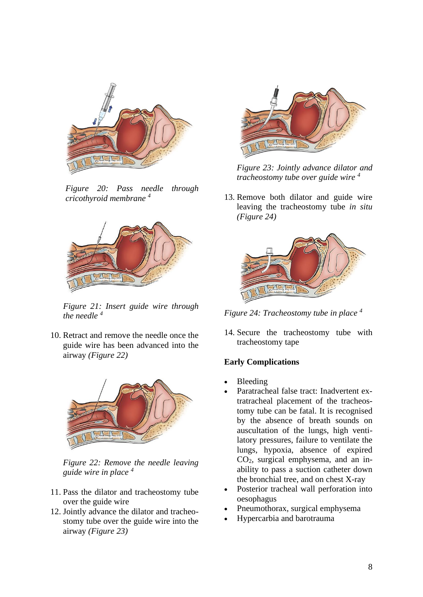

*Figure 20: Pass needle through cricothyroid membrane <sup>4</sup>*



*Figure 21: Insert guide wire through the needle <sup>4</sup>*

10. Retract and remove the needle once the guide wire has been advanced into the airway *(Figure 22)*



*Figure 22: Remove the needle leaving guide wire in place <sup>4</sup>*

- 11. Pass the dilator and tracheostomy tube over the guide wire
- 12. Jointly advance the dilator and tracheostomy tube over the guide wire into the airway *(Figure 23)*



*Figure 23: Jointly advance dilator and tracheostomy tube over guide wire <sup>4</sup>*

13. Remove both dilator and guide wire leaving the tracheostomy tube *in situ (Figure 24)*



*Figure 24: Tracheostomy tube in place <sup>4</sup>*

14. Secure the tracheostomy tube with tracheostomy tape

# **Early Complications**

- Bleeding
- Paratracheal false tract: Inadvertent extratracheal placement of the tracheostomy tube can be fatal. It is recognised by the absence of breath sounds on auscultation of the lungs, high ventilatory pressures, failure to ventilate the lungs, hypoxia, absence of expired CO2, surgical emphysema, and an inability to pass a suction catheter down the bronchial tree, and on chest X-ray
- Posterior tracheal wall perforation into oesophagus
- Pneumothorax, surgical emphysema
- Hypercarbia and barotrauma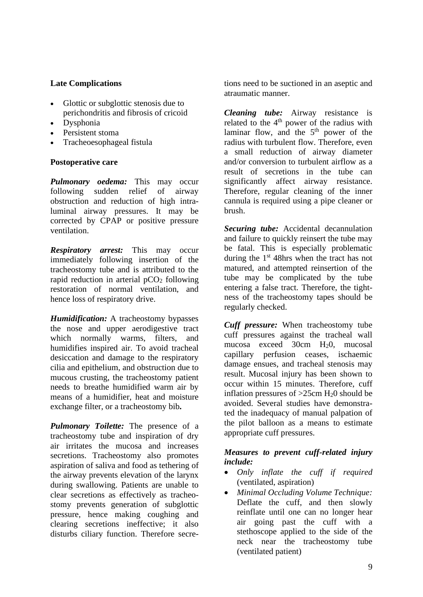# **Late Complications**

- Glottic or subglottic stenosis due to perichondritis and fibrosis of cricoid
- Dysphonia
- Persistent stoma
- Tracheoesophageal fistula

# **Postoperative care**

*Pulmonary oedema:* This may occur following sudden relief of airway obstruction and reduction of high intraluminal airway pressures. It may be corrected by CPAP or positive pressure ventilation.

*Respiratory arrest:* This may occur immediately following insertion of the tracheostomy tube and is attributed to the rapid reduction in arterial  $pCO<sub>2</sub>$  following restoration of normal ventilation, and hence loss of respiratory drive.

*Humidification:* A tracheostomy bypasses the nose and upper aerodigestive tract which normally warms, filters, and humidifies inspired air. To avoid tracheal desiccation and damage to the respiratory cilia and epithelium, and obstruction due to mucous crusting, the tracheostomy patient needs to breathe humidified warm air by means of a humidifier, heat and moisture exchange filter, or a tracheostomy bib**.**

*Pulmonary Toilette:* The presence of a tracheostomy tube and inspiration of dry air irritates the mucosa and increases secretions. Tracheostomy also promotes aspiration of saliva and food as tethering of the airway prevents elevation of the larynx during swallowing. Patients are unable to clear secretions as effectively as tracheostomy prevents generation of subglottic pressure, hence making coughing and clearing secretions ineffective; it also disturbs ciliary function. Therefore secretions need to be suctioned in an aseptic and atraumatic manner.

*Cleaning tube:* Airway resistance is related to the  $4<sup>th</sup>$  power of the radius with laminar flow, and the  $5<sup>th</sup>$  power of the radius with turbulent flow. Therefore, even a small reduction of airway diameter and/or conversion to turbulent airflow as a result of secretions in the tube can significantly affect airway resistance. Therefore, regular cleaning of the inner cannula is required using a pipe cleaner or brush.

*Securing tube:* Accidental decannulation and failure to quickly reinsert the tube may be fatal. This is especially problematic during the  $1<sup>st</sup>$  48hrs when the tract has not matured, and attempted reinsertion of the tube may be complicated by the tube entering a false tract. Therefore, the tightness of the tracheostomy tapes should be regularly checked.

*Cuff pressure:* When tracheostomy tube cuff pressures against the tracheal wall mucosa exceed 30cm H20, mucosal capillary perfusion ceases, ischaemic damage ensues, and tracheal stenosis may result. Mucosal injury has been shown to occur within 15 minutes. Therefore, cuff inflation pressures of  $>25$ cm H<sub>2</sub>0 should be avoided. Several studies have demonstrated the inadequacy of manual palpation of the pilot balloon as a means to estimate appropriate cuff pressures.

# *Measures to prevent cuff-related injury include:*

- *Only inflate the cuff if required* (ventilated, aspiration)
- *Minimal Occluding Volume Technique:* Deflate the cuff, and then slowly reinflate until one can no longer hear air going past the cuff with a stethoscope applied to the side of the neck near the tracheostomy tube (ventilated patient)